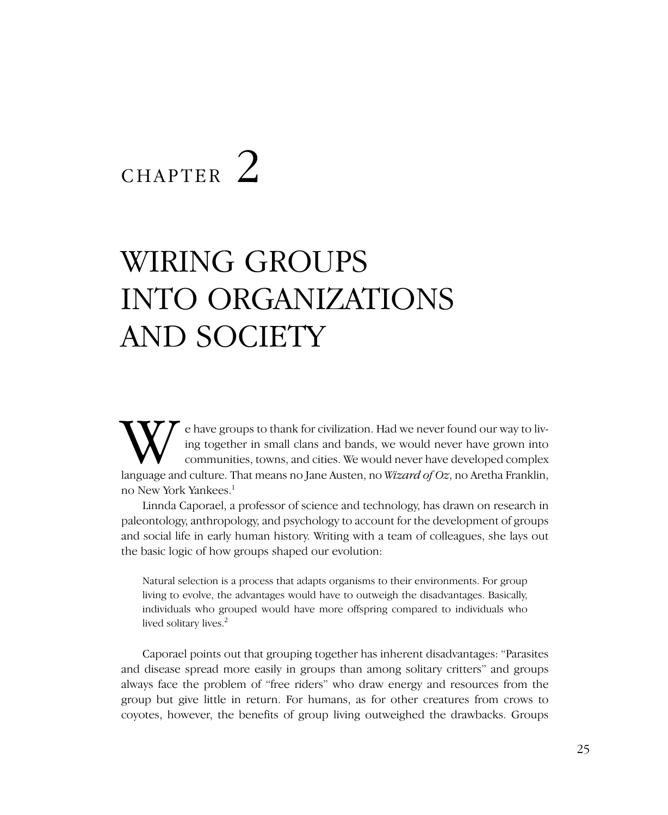# CHAPTER<sup>2</sup>

# WIRING GROUPS INTO ORGANIZATIONS AND SOCIETY

We have groups to thank for civilization. Had we never found our way to living together in small clans and bands, we would never have grown into communities, towns, and cities. We would never have developed complex languag ing together in small clans and bands, we would never have grown into communities, towns, and cities. We would never have developed complex no New York Yankees.1

Linnda Caporael, a professor of science and technology, has drawn on research in paleontology, anthropology, and psychology to account for the development of groups and social life in early human history. Writing with a team of colleagues, she lays out the basic logic of how groups shaped our evolution:

Natural selection is a process that adapts organisms to their environments. For group living to evolve, the advantages would have to outweigh the disadvantages. Basically, individuals who grouped would have more offspring compared to individuals who lived solitary lives.<sup>2</sup>

Caporael points out that grouping together has inherent disadvantages: "Parasites and disease spread more easily in groups than among solitary critters" and groups always face the problem of "free riders" who draw energy and resources from the group but give little in return. For humans, as for other creatures from crows to coyotes, however, the benefits of group living outweighed the drawbacks. Groups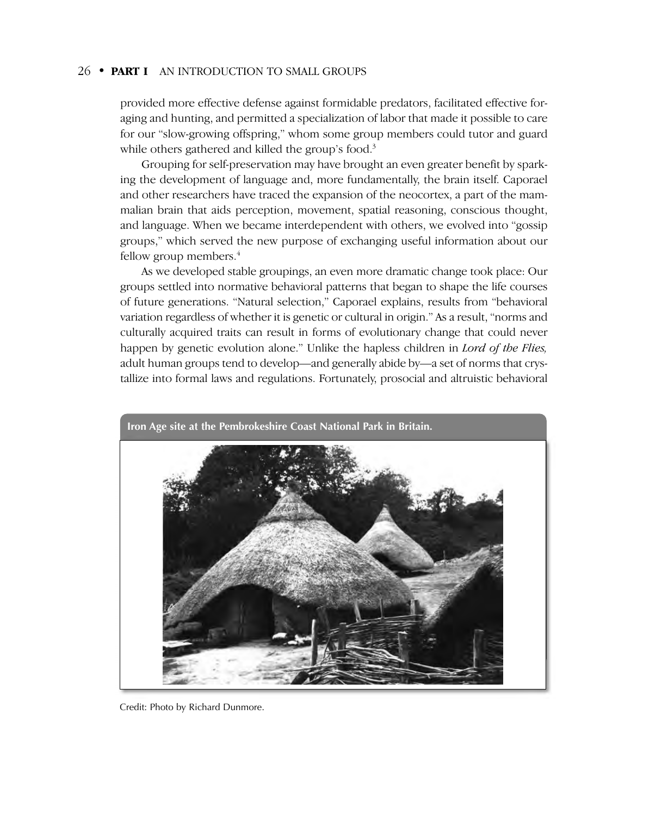provided more effective defense against formidable predators, facilitated effective foraging and hunting, and permitted a specialization of labor that made it possible to care for our "slow-growing offspring," whom some group members could tutor and guard while others gathered and killed the group's food.<sup>3</sup>

Grouping for self-preservation may have brought an even greater benefit by sparking the development of language and, more fundamentally, the brain itself. Caporael and other researchers have traced the expansion of the neocortex, a part of the mammalian brain that aids perception, movement, spatial reasoning, conscious thought, and language. When we became interdependent with others, we evolved into "gossip groups," which served the new purpose of exchanging useful information about our fellow group members. $4$ 

As we developed stable groupings, an even more dramatic change took place: Our groups settled into normative behavioral patterns that began to shape the life courses of future generations. "Natural selection," Caporael explains, results from "behavioral variation regardless of whether it is genetic or cultural in origin." As a result, "norms and culturally acquired traits can result in forms of evolutionary change that could never happen by genetic evolution alone." Unlike the hapless children in *Lord of the Flies,* adult human groups tend to develop—and generally abide by—a set of norms that crystallize into formal laws and regulations. Fortunately, prosocial and altruistic behavioral



Credit: Photo by Richard Dunmore.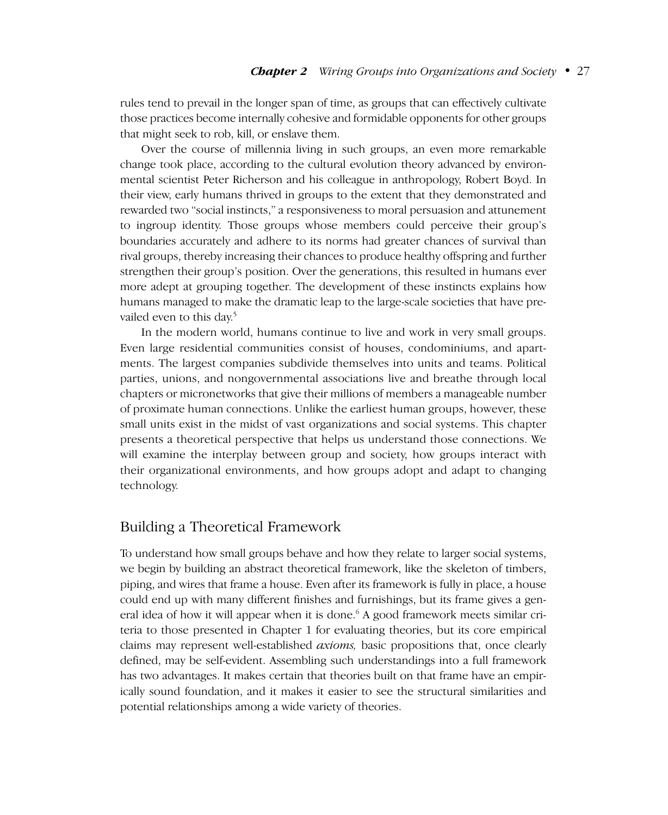rules tend to prevail in the longer span of time, as groups that can effectively cultivate those practices become internally cohesive and formidable opponents for other groups that might seek to rob, kill, or enslave them.

Over the course of millennia living in such groups, an even more remarkable change took place, according to the cultural evolution theory advanced by environmental scientist Peter Richerson and his colleague in anthropology, Robert Boyd. In their view, early humans thrived in groups to the extent that they demonstrated and rewarded two "social instincts," a responsiveness to moral persuasion and attunement to ingroup identity. Those groups whose members could perceive their group's boundaries accurately and adhere to its norms had greater chances of survival than rival groups, thereby increasing their chances to produce healthy offspring and further strengthen their group's position. Over the generations, this resulted in humans ever more adept at grouping together. The development of these instincts explains how humans managed to make the dramatic leap to the large-scale societies that have prevailed even to this day.<sup>5</sup>

In the modern world, humans continue to live and work in very small groups. Even large residential communities consist of houses, condominiums, and apartments. The largest companies subdivide themselves into units and teams. Political parties, unions, and nongovernmental associations live and breathe through local chapters or micronetworks that give their millions of members a manageable number of proximate human connections. Unlike the earliest human groups, however, these small units exist in the midst of vast organizations and social systems. This chapter presents a theoretical perspective that helps us understand those connections. We will examine the interplay between group and society, how groups interact with their organizational environments, and how groups adopt and adapt to changing technology.

### Building a Theoretical Framework

To understand how small groups behave and how they relate to larger social systems, we begin by building an abstract theoretical framework, like the skeleton of timbers, piping, and wires that frame a house. Even after its framework is fully in place, a house could end up with many different finishes and furnishings, but its frame gives a general idea of how it will appear when it is done.<sup>6</sup> A good framework meets similar criteria to those presented in Chapter 1 for evaluating theories, but its core empirical claims may represent well-established *axioms,* basic propositions that, once clearly defined, may be self-evident. Assembling such understandings into a full framework has two advantages. It makes certain that theories built on that frame have an empirically sound foundation, and it makes it easier to see the structural similarities and potential relationships among a wide variety of theories.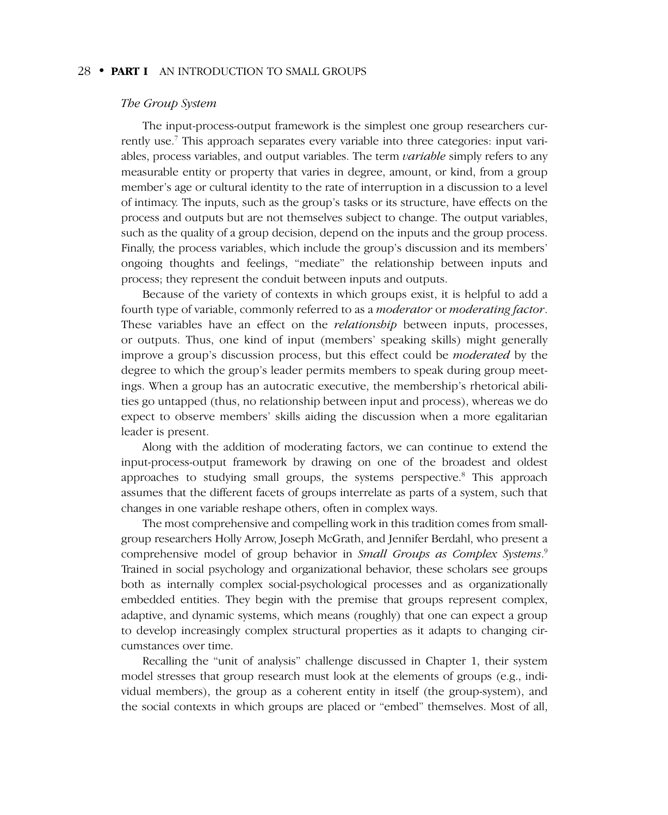#### *The Group System*

The input-process-output framework is the simplest one group researchers currently use.<sup>7</sup> This approach separates every variable into three categories: input variables, process variables, and output variables. The term *variable* simply refers to any measurable entity or property that varies in degree, amount, or kind, from a group member's age or cultural identity to the rate of interruption in a discussion to a level of intimacy. The inputs, such as the group's tasks or its structure, have effects on the process and outputs but are not themselves subject to change. The output variables, such as the quality of a group decision, depend on the inputs and the group process. Finally, the process variables, which include the group's discussion and its members' ongoing thoughts and feelings, "mediate" the relationship between inputs and process; they represent the conduit between inputs and outputs.

Because of the variety of contexts in which groups exist, it is helpful to add a fourth type of variable, commonly referred to as a *moderator* or *moderating factor*. These variables have an effect on the *relationship* between inputs, processes, or outputs. Thus, one kind of input (members' speaking skills) might generally improve a group's discussion process, but this effect could be *moderated* by the degree to which the group's leader permits members to speak during group meetings. When a group has an autocratic executive, the membership's rhetorical abilities go untapped (thus, no relationship between input and process), whereas we do expect to observe members' skills aiding the discussion when a more egalitarian leader is present.

Along with the addition of moderating factors, we can continue to extend the input-process-output framework by drawing on one of the broadest and oldest approaches to studying small groups, the systems perspective.8 This approach assumes that the different facets of groups interrelate as parts of a system, such that changes in one variable reshape others, often in complex ways.

The most comprehensive and compelling work in this tradition comes from smallgroup researchers Holly Arrow, Joseph McGrath, and Jennifer Berdahl, who present a comprehensive model of group behavior in *Small Groups as Complex Systems*. 9 Trained in social psychology and organizational behavior, these scholars see groups both as internally complex social-psychological processes and as organizationally embedded entities. They begin with the premise that groups represent complex, adaptive, and dynamic systems, which means (roughly) that one can expect a group to develop increasingly complex structural properties as it adapts to changing circumstances over time.

Recalling the "unit of analysis" challenge discussed in Chapter 1, their system model stresses that group research must look at the elements of groups (e.g., individual members), the group as a coherent entity in itself (the group-system), and the social contexts in which groups are placed or "embed" themselves. Most of all,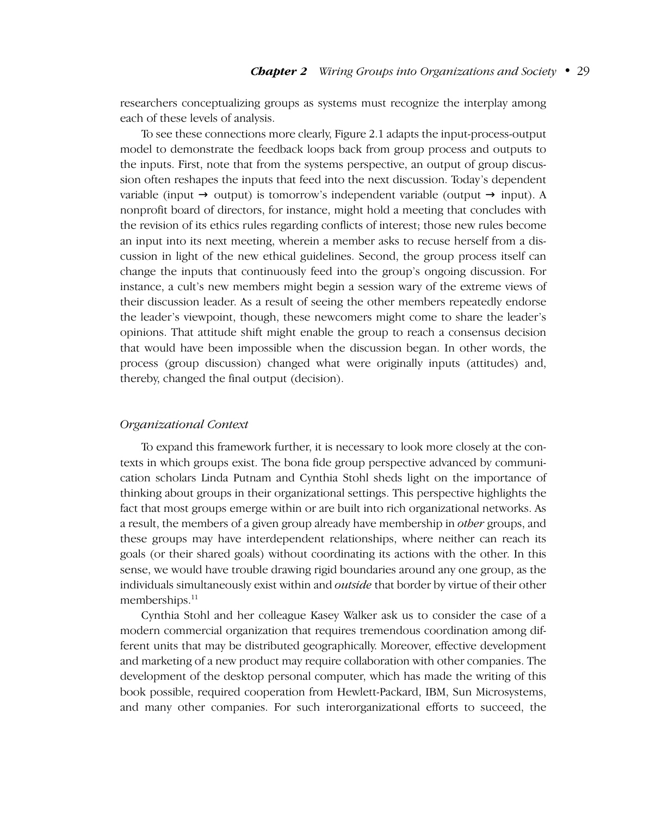researchers conceptualizing groups as systems must recognize the interplay among each of these levels of analysis.

To see these connections more clearly, Figure 2.1 adapts the input-process-output model to demonstrate the feedback loops back from group process and outputs to the inputs. First, note that from the systems perspective, an output of group discussion often reshapes the inputs that feed into the next discussion. Today's dependent variable (input  $\rightarrow$  output) is tomorrow's independent variable (output  $\rightarrow$  input). A nonprofit board of directors, for instance, might hold a meeting that concludes with the revision of its ethics rules regarding conflicts of interest; those new rules become an input into its next meeting, wherein a member asks to recuse herself from a discussion in light of the new ethical guidelines. Second, the group process itself can change the inputs that continuously feed into the group's ongoing discussion. For instance, a cult's new members might begin a session wary of the extreme views of their discussion leader. As a result of seeing the other members repeatedly endorse the leader's viewpoint, though, these newcomers might come to share the leader's opinions. That attitude shift might enable the group to reach a consensus decision that would have been impossible when the discussion began. In other words, the process (group discussion) changed what were originally inputs (attitudes) and, thereby, changed the final output (decision).

#### *Organizational Context*

To expand this framework further, it is necessary to look more closely at the contexts in which groups exist. The bona fide group perspective advanced by communication scholars Linda Putnam and Cynthia Stohl sheds light on the importance of thinking about groups in their organizational settings. This perspective highlights the fact that most groups emerge within or are built into rich organizational networks. As a result, the members of a given group already have membership in *other* groups, and these groups may have interdependent relationships, where neither can reach its goals (or their shared goals) without coordinating its actions with the other. In this sense, we would have trouble drawing rigid boundaries around any one group, as the individuals simultaneously exist within and *outside* that border by virtue of their other memberships.<sup>11</sup>

Cynthia Stohl and her colleague Kasey Walker ask us to consider the case of a modern commercial organization that requires tremendous coordination among different units that may be distributed geographically. Moreover, effective development and marketing of a new product may require collaboration with other companies. The development of the desktop personal computer, which has made the writing of this book possible, required cooperation from Hewlett-Packard, IBM, Sun Microsystems, and many other companies. For such interorganizational efforts to succeed, the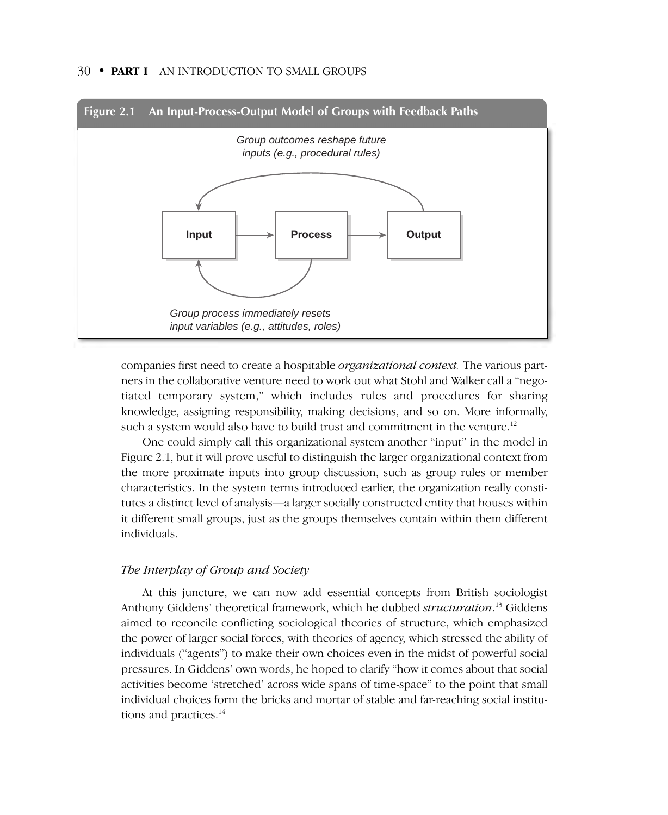

companies first need to create a hospitable *organizational context.* The various partners in the collaborative venture need to work out what Stohl and Walker call a "negotiated temporary system," which includes rules and procedures for sharing knowledge, assigning responsibility, making decisions, and so on. More informally, such a system would also have to build trust and commitment in the venture.<sup>12</sup>

One could simply call this organizational system another "input" in the model in Figure 2.1, but it will prove useful to distinguish the larger organizational context from the more proximate inputs into group discussion, such as group rules or member characteristics. In the system terms introduced earlier, the organization really constitutes a distinct level of analysis—a larger socially constructed entity that houses within it different small groups, just as the groups themselves contain within them different individuals.

#### *The Interplay of Group and Society*

At this juncture, we can now add essential concepts from British sociologist Anthony Giddens' theoretical framework, which he dubbed *structuration*. <sup>13</sup> Giddens aimed to reconcile conflicting sociological theories of structure, which emphasized the power of larger social forces, with theories of agency, which stressed the ability of individuals ("agents") to make their own choices even in the midst of powerful social pressures. In Giddens' own words, he hoped to clarify "how it comes about that social activities become 'stretched' across wide spans of time-space" to the point that small individual choices form the bricks and mortar of stable and far-reaching social institutions and practices.<sup>14</sup>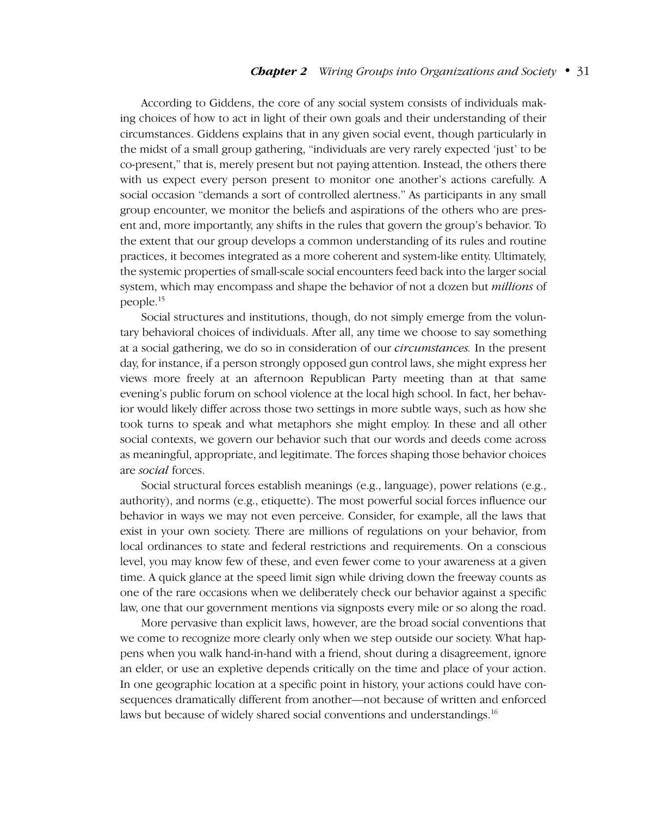#### *Chapter 2 Wiring Groups into Organizations and Society*–•–31

According to Giddens, the core of any social system consists of individuals making choices of how to act in light of their own goals and their understanding of their circumstances. Giddens explains that in any given social event, though particularly in the midst of a small group gathering, "individuals are very rarely expected 'just' to be co-present," that is, merely present but not paying attention. Instead, the others there with us expect every person present to monitor one another's actions carefully. A social occasion "demands a sort of controlled alertness." As participants in any small group encounter, we monitor the beliefs and aspirations of the others who are present and, more importantly, any shifts in the rules that govern the group's behavior. To the extent that our group develops a common understanding of its rules and routine practices, it becomes integrated as a more coherent and system-like entity. Ultimately, the systemic properties of small-scale social encounters feed back into the larger social system, which may encompass and shape the behavior of not a dozen but *millions* of people.15

Social structures and institutions, though, do not simply emerge from the voluntary behavioral choices of individuals. After all, any time we choose to say something at a social gathering, we do so in consideration of our *circumstances.* In the present day, for instance, if a person strongly opposed gun control laws, she might express her views more freely at an afternoon Republican Party meeting than at that same evening's public forum on school violence at the local high school. In fact, her behavior would likely differ across those two settings in more subtle ways, such as how she took turns to speak and what metaphors she might employ. In these and all other social contexts, we govern our behavior such that our words and deeds come across as meaningful, appropriate, and legitimate. The forces shaping those behavior choices are *social* forces.

Social structural forces establish meanings (e.g., language), power relations (e.g., authority), and norms (e.g., etiquette). The most powerful social forces influence our behavior in ways we may not even perceive. Consider, for example, all the laws that exist in your own society. There are millions of regulations on your behavior, from local ordinances to state and federal restrictions and requirements. On a conscious level, you may know few of these, and even fewer come to your awareness at a given time. A quick glance at the speed limit sign while driving down the freeway counts as one of the rare occasions when we deliberately check our behavior against a specific law, one that our government mentions via signposts every mile or so along the road.

More pervasive than explicit laws, however, are the broad social conventions that we come to recognize more clearly only when we step outside our society. What happens when you walk hand-in-hand with a friend, shout during a disagreement, ignore an elder, or use an expletive depends critically on the time and place of your action. In one geographic location at a specific point in history, your actions could have consequences dramatically different from another—not because of written and enforced laws but because of widely shared social conventions and understandings.<sup>16</sup>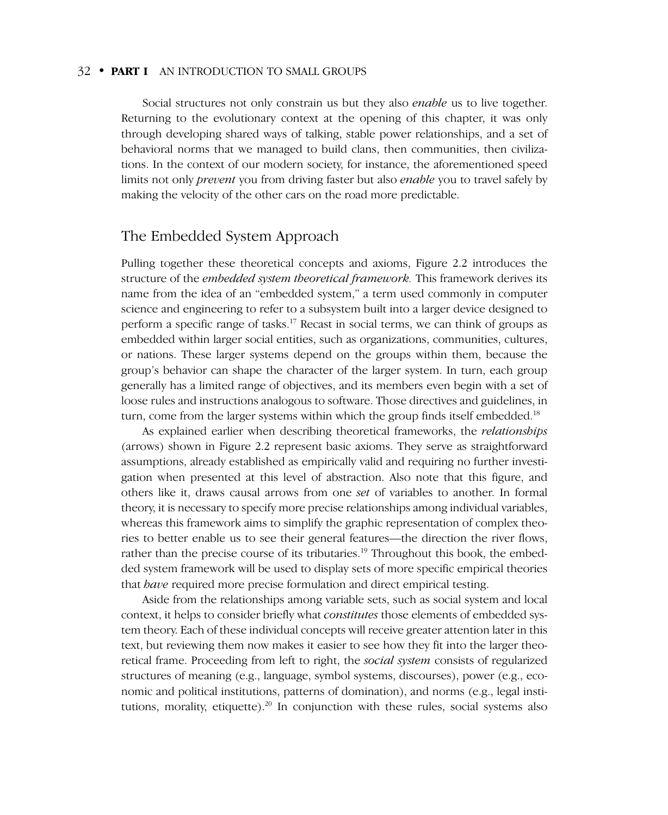Social structures not only constrain us but they also *enable* us to live together. Returning to the evolutionary context at the opening of this chapter, it was only through developing shared ways of talking, stable power relationships, and a set of behavioral norms that we managed to build clans, then communities, then civilizations. In the context of our modern society, for instance, the aforementioned speed limits not only *prevent* you from driving faster but also *enable* you to travel safely by making the velocity of the other cars on the road more predictable.

## The Embedded System Approach

Pulling together these theoretical concepts and axioms, Figure 2.2 introduces the structure of the *embedded system theoretical framework.* This framework derives its name from the idea of an "embedded system," a term used commonly in computer science and engineering to refer to a subsystem built into a larger device designed to perform a specific range of tasks.<sup>17</sup> Recast in social terms, we can think of groups as embedded within larger social entities, such as organizations, communities, cultures, or nations. These larger systems depend on the groups within them, because the group's behavior can shape the character of the larger system. In turn, each group generally has a limited range of objectives, and its members even begin with a set of loose rules and instructions analogous to software. Those directives and guidelines, in turn, come from the larger systems within which the group finds itself embedded.<sup>18</sup>

As explained earlier when describing theoretical frameworks, the *relationships* (arrows) shown in Figure 2.2 represent basic axioms. They serve as straightforward assumptions, already established as empirically valid and requiring no further investigation when presented at this level of abstraction. Also note that this figure, and others like it, draws causal arrows from one *set* of variables to another. In formal theory, it is necessary to specify more precise relationships among individual variables, whereas this framework aims to simplify the graphic representation of complex theories to better enable us to see their general features—the direction the river flows, rather than the precise course of its tributaries.<sup>19</sup> Throughout this book, the embedded system framework will be used to display sets of more specific empirical theories that *have* required more precise formulation and direct empirical testing.

Aside from the relationships among variable sets, such as social system and local context, it helps to consider briefly what *constitutes* those elements of embedded system theory. Each of these individual concepts will receive greater attention later in this text, but reviewing them now makes it easier to see how they fit into the larger theoretical frame. Proceeding from left to right, the *social system* consists of regularized structures of meaning (e.g., language, symbol systems, discourses), power (e.g., economic and political institutions, patterns of domination), and norms (e.g., legal institutions, morality, etiquette).<sup>20</sup> In conjunction with these rules, social systems also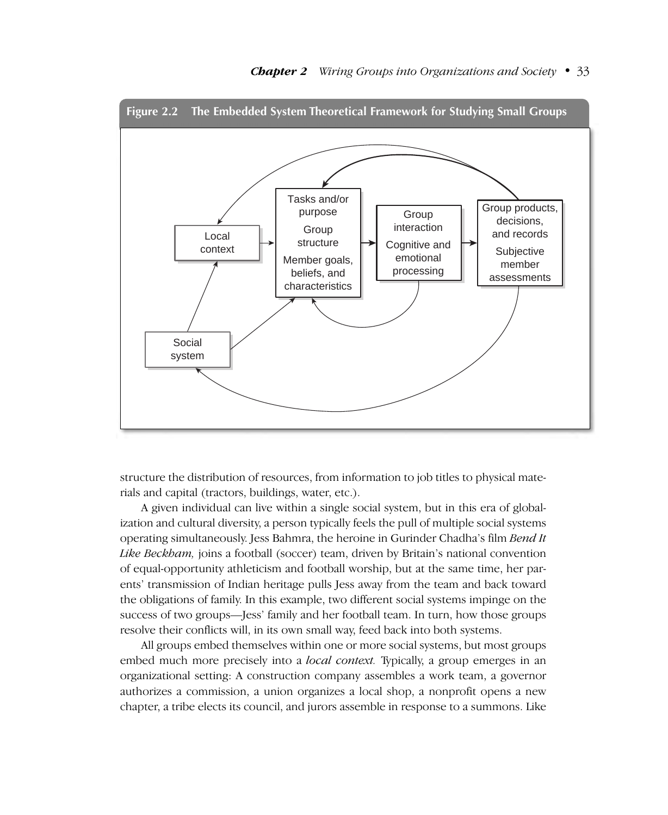

structure the distribution of resources, from information to job titles to physical materials and capital (tractors, buildings, water, etc.).

A given individual can live within a single social system, but in this era of globalization and cultural diversity, a person typically feels the pull of multiple social systems operating simultaneously. Jess Bahmra, the heroine in Gurinder Chadha's film *Bend It Like Beckham,* joins a football (soccer) team, driven by Britain's national convention of equal-opportunity athleticism and football worship, but at the same time, her parents' transmission of Indian heritage pulls Jess away from the team and back toward the obligations of family. In this example, two different social systems impinge on the success of two groups—Jess' family and her football team. In turn, how those groups resolve their conflicts will, in its own small way, feed back into both systems.

All groups embed themselves within one or more social systems, but most groups embed much more precisely into a *local context.* Typically, a group emerges in an organizational setting: A construction company assembles a work team, a governor authorizes a commission, a union organizes a local shop, a nonprofit opens a new chapter, a tribe elects its council, and jurors assemble in response to a summons. Like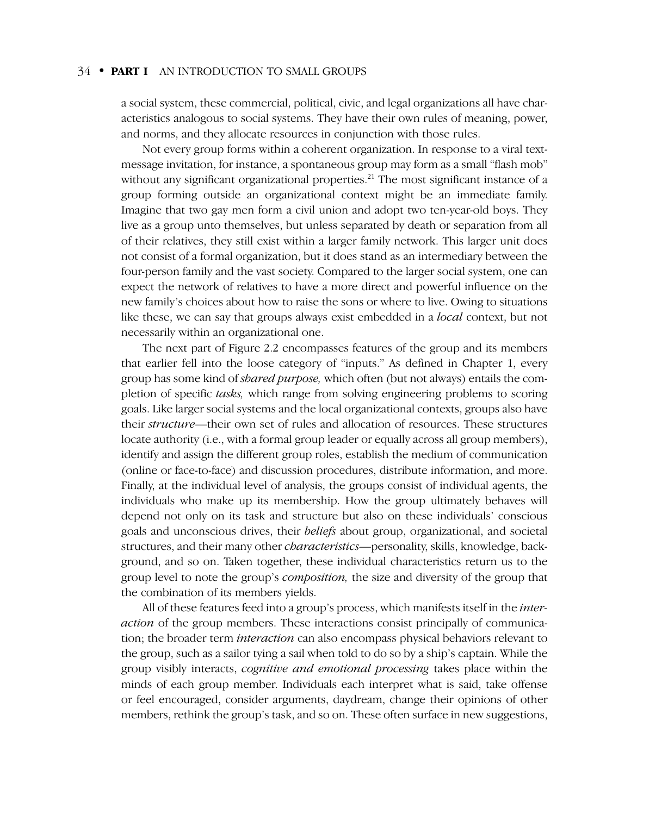a social system, these commercial, political, civic, and legal organizations all have characteristics analogous to social systems. They have their own rules of meaning, power, and norms, and they allocate resources in conjunction with those rules.

Not every group forms within a coherent organization. In response to a viral textmessage invitation, for instance, a spontaneous group may form as a small "flash mob" without any significant organizational properties.<sup>21</sup> The most significant instance of a group forming outside an organizational context might be an immediate family. Imagine that two gay men form a civil union and adopt two ten-year-old boys. They live as a group unto themselves, but unless separated by death or separation from all of their relatives, they still exist within a larger family network. This larger unit does not consist of a formal organization, but it does stand as an intermediary between the four-person family and the vast society. Compared to the larger social system, one can expect the network of relatives to have a more direct and powerful influence on the new family's choices about how to raise the sons or where to live. Owing to situations like these, we can say that groups always exist embedded in a *local* context, but not necessarily within an organizational one.

The next part of Figure 2.2 encompasses features of the group and its members that earlier fell into the loose category of "inputs." As defined in Chapter 1, every group has some kind of *shared purpose,* which often (but not always) entails the completion of specific *tasks,* which range from solving engineering problems to scoring goals. Like larger social systems and the local organizational contexts, groups also have their *structure*—their own set of rules and allocation of resources. These structures locate authority (i.e., with a formal group leader or equally across all group members), identify and assign the different group roles, establish the medium of communication (online or face-to-face) and discussion procedures, distribute information, and more. Finally, at the individual level of analysis, the groups consist of individual agents, the individuals who make up its membership. How the group ultimately behaves will depend not only on its task and structure but also on these individuals' conscious goals and unconscious drives, their *beliefs* about group, organizational, and societal structures, and their many other *characteristics*—personality, skills, knowledge, background, and so on. Taken together, these individual characteristics return us to the group level to note the group's *composition,* the size and diversity of the group that the combination of its members yields.

All of these features feed into a group's process, which manifests itself in the *interaction* of the group members. These interactions consist principally of communication; the broader term *interaction* can also encompass physical behaviors relevant to the group, such as a sailor tying a sail when told to do so by a ship's captain. While the group visibly interacts, *cognitive and emotional processing* takes place within the minds of each group member. Individuals each interpret what is said, take offense or feel encouraged, consider arguments, daydream, change their opinions of other members, rethink the group's task, and so on. These often surface in new suggestions,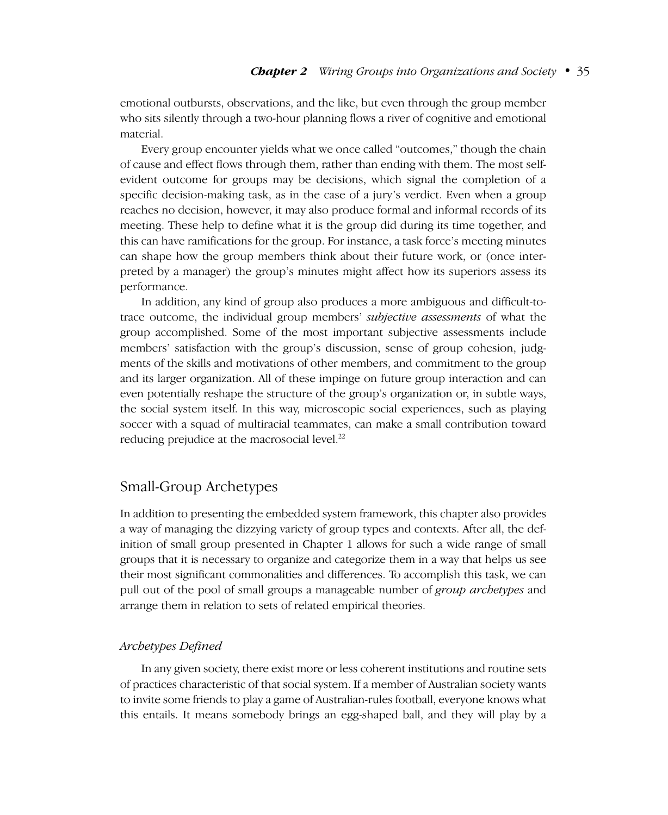emotional outbursts, observations, and the like, but even through the group member who sits silently through a two-hour planning flows a river of cognitive and emotional material.

Every group encounter yields what we once called "outcomes," though the chain of cause and effect flows through them, rather than ending with them. The most selfevident outcome for groups may be decisions, which signal the completion of a specific decision-making task, as in the case of a jury's verdict. Even when a group reaches no decision, however, it may also produce formal and informal records of its meeting. These help to define what it is the group did during its time together, and this can have ramifications for the group. For instance, a task force's meeting minutes can shape how the group members think about their future work, or (once interpreted by a manager) the group's minutes might affect how its superiors assess its performance.

In addition, any kind of group also produces a more ambiguous and difficult-totrace outcome, the individual group members' *subjective assessments* of what the group accomplished. Some of the most important subjective assessments include members' satisfaction with the group's discussion, sense of group cohesion, judgments of the skills and motivations of other members, and commitment to the group and its larger organization. All of these impinge on future group interaction and can even potentially reshape the structure of the group's organization or, in subtle ways, the social system itself. In this way, microscopic social experiences, such as playing soccer with a squad of multiracial teammates, can make a small contribution toward reducing prejudice at the macrosocial level.<sup>22</sup>

# Small-Group Archetypes

In addition to presenting the embedded system framework, this chapter also provides a way of managing the dizzying variety of group types and contexts. After all, the definition of small group presented in Chapter 1 allows for such a wide range of small groups that it is necessary to organize and categorize them in a way that helps us see their most significant commonalities and differences. To accomplish this task, we can pull out of the pool of small groups a manageable number of *group archetypes* and arrange them in relation to sets of related empirical theories.

#### *Archetypes Defined*

In any given society, there exist more or less coherent institutions and routine sets of practices characteristic of that social system. If a member of Australian society wants to invite some friends to play a game of Australian-rules football, everyone knows what this entails. It means somebody brings an egg-shaped ball, and they will play by a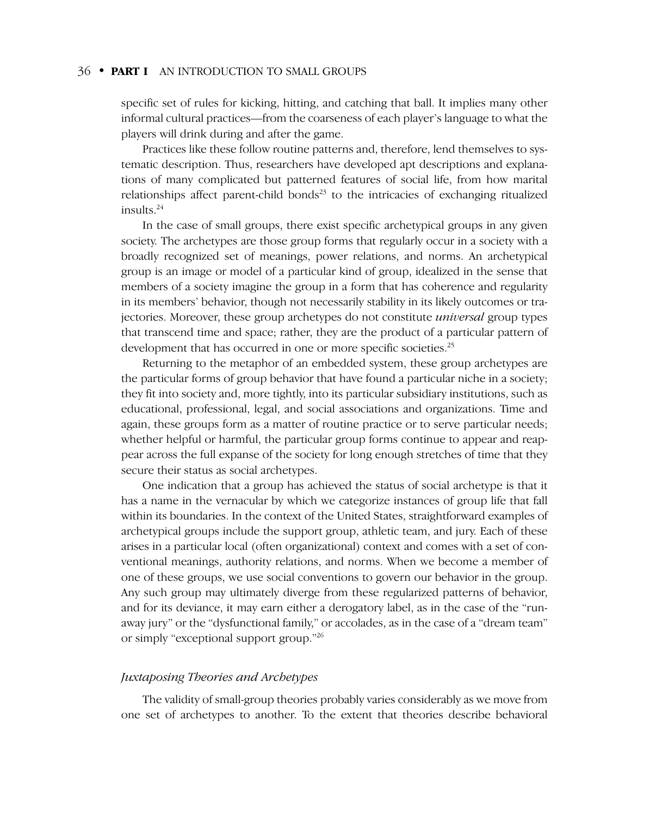specific set of rules for kicking, hitting, and catching that ball. It implies many other informal cultural practices—from the coarseness of each player's language to what the players will drink during and after the game.

Practices like these follow routine patterns and, therefore, lend themselves to systematic description. Thus, researchers have developed apt descriptions and explanations of many complicated but patterned features of social life, from how marital relationships affect parent-child bonds<sup>23</sup> to the intricacies of exchanging ritualized insults.24

In the case of small groups, there exist specific archetypical groups in any given society. The archetypes are those group forms that regularly occur in a society with a broadly recognized set of meanings, power relations, and norms. An archetypical group is an image or model of a particular kind of group, idealized in the sense that members of a society imagine the group in a form that has coherence and regularity in its members' behavior, though not necessarily stability in its likely outcomes or trajectories. Moreover, these group archetypes do not constitute *universal* group types that transcend time and space; rather, they are the product of a particular pattern of development that has occurred in one or more specific societies.<sup>25</sup>

Returning to the metaphor of an embedded system, these group archetypes are the particular forms of group behavior that have found a particular niche in a society; they fit into society and, more tightly, into its particular subsidiary institutions, such as educational, professional, legal, and social associations and organizations. Time and again, these groups form as a matter of routine practice or to serve particular needs; whether helpful or harmful, the particular group forms continue to appear and reappear across the full expanse of the society for long enough stretches of time that they secure their status as social archetypes.

One indication that a group has achieved the status of social archetype is that it has a name in the vernacular by which we categorize instances of group life that fall within its boundaries. In the context of the United States, straightforward examples of archetypical groups include the support group, athletic team, and jury. Each of these arises in a particular local (often organizational) context and comes with a set of conventional meanings, authority relations, and norms. When we become a member of one of these groups, we use social conventions to govern our behavior in the group. Any such group may ultimately diverge from these regularized patterns of behavior, and for its deviance, it may earn either a derogatory label, as in the case of the "runaway jury" or the "dysfunctional family," or accolades, as in the case of a "dream team" or simply "exceptional support group."26

#### *Juxtaposing Theories and Archetypes*

The validity of small-group theories probably varies considerably as we move from one set of archetypes to another. To the extent that theories describe behavioral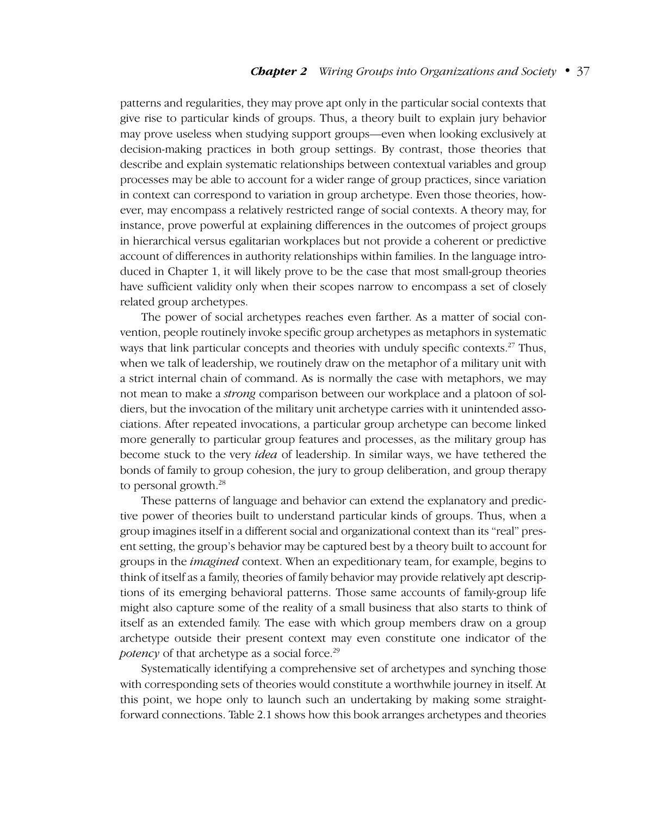#### *Chapter 2 Wiring Groups into Organizations and Society*–•–37

patterns and regularities, they may prove apt only in the particular social contexts that give rise to particular kinds of groups. Thus, a theory built to explain jury behavior may prove useless when studying support groups—even when looking exclusively at decision-making practices in both group settings. By contrast, those theories that describe and explain systematic relationships between contextual variables and group processes may be able to account for a wider range of group practices, since variation in context can correspond to variation in group archetype. Even those theories, however, may encompass a relatively restricted range of social contexts. A theory may, for instance, prove powerful at explaining differences in the outcomes of project groups in hierarchical versus egalitarian workplaces but not provide a coherent or predictive account of differences in authority relationships within families. In the language introduced in Chapter 1, it will likely prove to be the case that most small-group theories have sufficient validity only when their scopes narrow to encompass a set of closely related group archetypes.

The power of social archetypes reaches even farther. As a matter of social convention, people routinely invoke specific group archetypes as metaphors in systematic ways that link particular concepts and theories with unduly specific contexts.<sup>27</sup> Thus, when we talk of leadership, we routinely draw on the metaphor of a military unit with a strict internal chain of command. As is normally the case with metaphors, we may not mean to make a *strong* comparison between our workplace and a platoon of soldiers, but the invocation of the military unit archetype carries with it unintended associations. After repeated invocations, a particular group archetype can become linked more generally to particular group features and processes, as the military group has become stuck to the very *idea* of leadership. In similar ways, we have tethered the bonds of family to group cohesion, the jury to group deliberation, and group therapy to personal growth.<sup>28</sup>

These patterns of language and behavior can extend the explanatory and predictive power of theories built to understand particular kinds of groups. Thus, when a group imagines itself in a different social and organizational context than its "real" present setting, the group's behavior may be captured best by a theory built to account for groups in the *imagined* context. When an expeditionary team, for example, begins to think of itself as a family, theories of family behavior may provide relatively apt descriptions of its emerging behavioral patterns. Those same accounts of family-group life might also capture some of the reality of a small business that also starts to think of itself as an extended family. The ease with which group members draw on a group archetype outside their present context may even constitute one indicator of the *potency* of that archetype as a social force.<sup>29</sup>

Systematically identifying a comprehensive set of archetypes and synching those with corresponding sets of theories would constitute a worthwhile journey in itself. At this point, we hope only to launch such an undertaking by making some straightforward connections. Table 2.1 shows how this book arranges archetypes and theories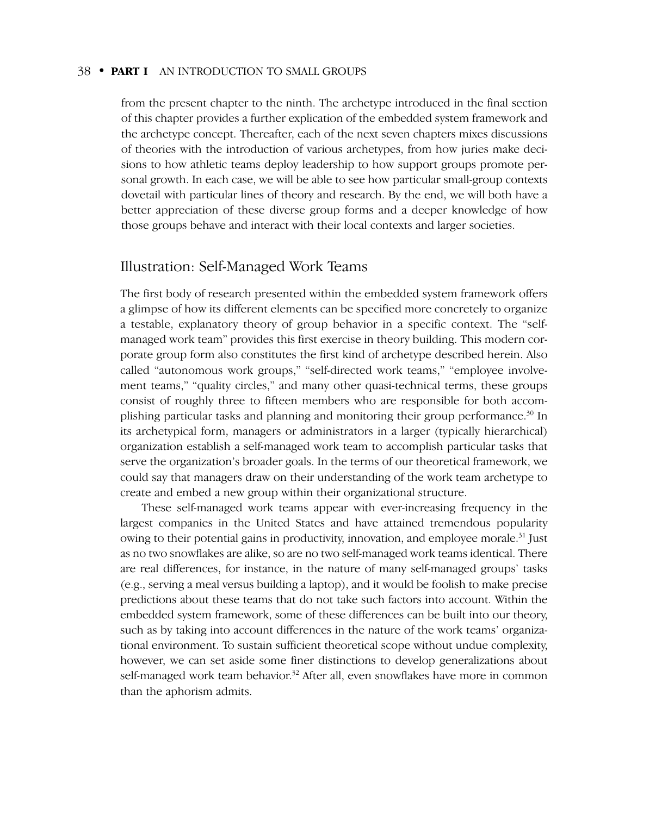from the present chapter to the ninth. The archetype introduced in the final section of this chapter provides a further explication of the embedded system framework and the archetype concept. Thereafter, each of the next seven chapters mixes discussions of theories with the introduction of various archetypes, from how juries make decisions to how athletic teams deploy leadership to how support groups promote personal growth. In each case, we will be able to see how particular small-group contexts dovetail with particular lines of theory and research. By the end, we will both have a better appreciation of these diverse group forms and a deeper knowledge of how those groups behave and interact with their local contexts and larger societies.

#### Illustration: Self-Managed Work Teams

The first body of research presented within the embedded system framework offers a glimpse of how its different elements can be specified more concretely to organize a testable, explanatory theory of group behavior in a specific context. The "selfmanaged work team" provides this first exercise in theory building. This modern corporate group form also constitutes the first kind of archetype described herein. Also called "autonomous work groups," "self-directed work teams," "employee involvement teams," "quality circles," and many other quasi-technical terms, these groups consist of roughly three to fifteen members who are responsible for both accomplishing particular tasks and planning and monitoring their group performance.<sup>30</sup> In its archetypical form, managers or administrators in a larger (typically hierarchical) organization establish a self-managed work team to accomplish particular tasks that serve the organization's broader goals. In the terms of our theoretical framework, we could say that managers draw on their understanding of the work team archetype to create and embed a new group within their organizational structure.

These self-managed work teams appear with ever-increasing frequency in the largest companies in the United States and have attained tremendous popularity owing to their potential gains in productivity, innovation, and employee morale.<sup>31</sup> Just as no two snowflakes are alike, so are no two self-managed work teams identical. There are real differences, for instance, in the nature of many self-managed groups' tasks (e.g., serving a meal versus building a laptop), and it would be foolish to make precise predictions about these teams that do not take such factors into account. Within the embedded system framework, some of these differences can be built into our theory, such as by taking into account differences in the nature of the work teams' organizational environment. To sustain sufficient theoretical scope without undue complexity, however, we can set aside some finer distinctions to develop generalizations about self-managed work team behavior.<sup>32</sup> After all, even snowflakes have more in common than the aphorism admits.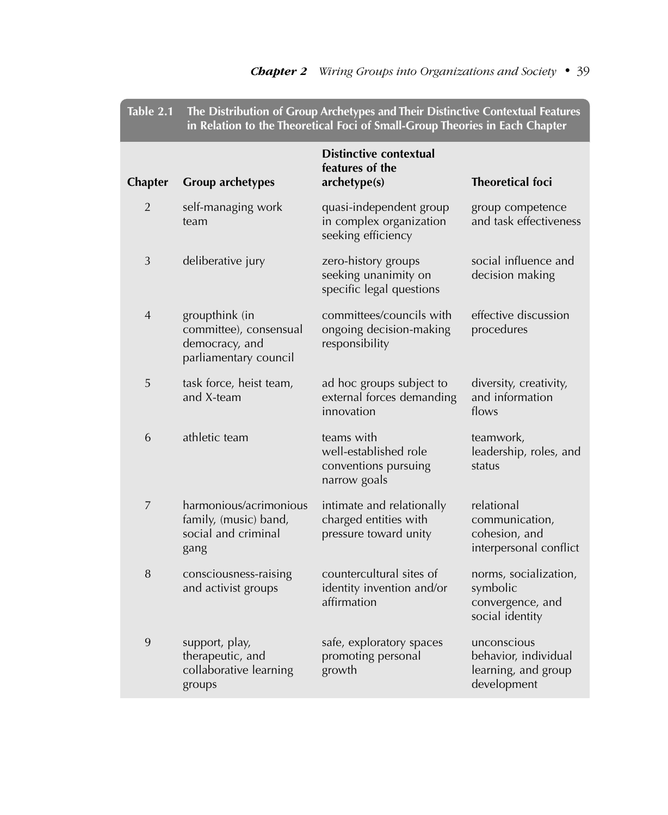| Table 2.1      | The Distribution of Group Archetypes and Their Distinctive Contextual Features<br>in Relation to the Theoretical Foci of Small-Group Theories in Each Chapter |                                                                             |                                                                           |
|----------------|---------------------------------------------------------------------------------------------------------------------------------------------------------------|-----------------------------------------------------------------------------|---------------------------------------------------------------------------|
| <b>Chapter</b> | <b>Group archetypes</b>                                                                                                                                       | <b>Distinctive contextual</b><br>features of the<br>archetype(s)            | <b>Theoretical foci</b>                                                   |
| 2              | self-managing work<br>team                                                                                                                                    | quasi-independent group<br>in complex organization<br>seeking efficiency    | group competence<br>and task effectiveness                                |
| 3              | deliberative jury                                                                                                                                             | zero-history groups<br>seeking unanimity on<br>specific legal questions     | social influence and<br>decision making                                   |
| 4              | groupthink (in<br>committee), consensual<br>democracy, and<br>parliamentary council                                                                           | committees/councils with<br>ongoing decision-making<br>responsibility       | effective discussion<br>procedures                                        |
| 5              | task force, heist team,<br>and X-team                                                                                                                         | ad hoc groups subject to<br>external forces demanding<br>innovation         | diversity, creativity,<br>and information<br>flows                        |
| 6              | athletic team                                                                                                                                                 | teams with<br>well-established role<br>conventions pursuing<br>narrow goals | teamwork,<br>leadership, roles, and<br>status                             |
| $\overline{7}$ | harmonious/acrimonious<br>family, (music) band,<br>social and criminal<br>gang                                                                                | intimate and relationally<br>charged entities with<br>pressure toward unity | relational<br>communication,<br>cohesion, and<br>interpersonal conflict   |
| 8              | consciousness-raising<br>and activist groups                                                                                                                  | countercultural sites of<br>identity invention and/or<br>affirmation        | norms, socialization,<br>symbolic<br>convergence, and<br>social identity  |
| 9              | support, play,<br>therapeutic, and<br>collaborative learning<br>groups                                                                                        | safe, exploratory spaces<br>promoting personal<br>growth                    | unconscious<br>behavior, individual<br>learning, and group<br>development |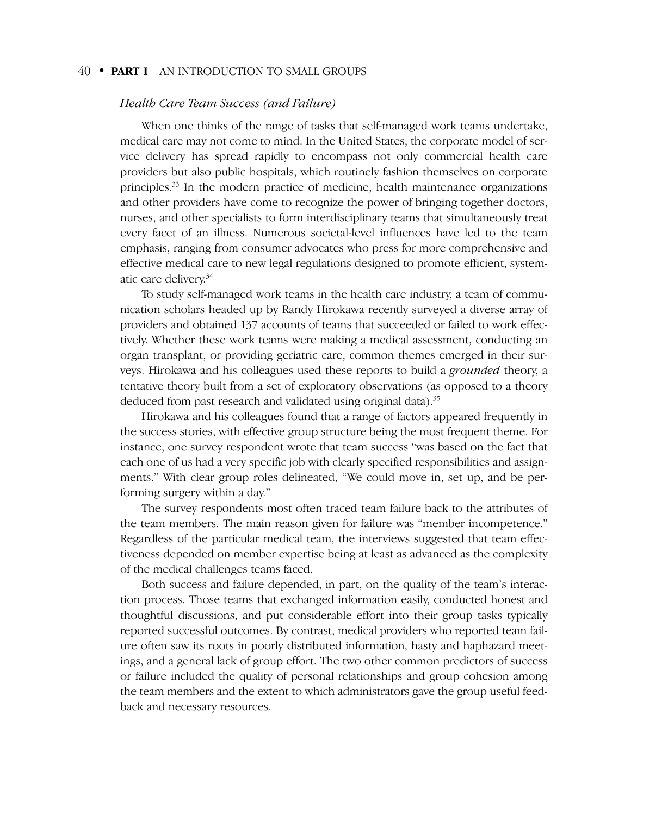#### *Health Care Team Success (and Failure)*

When one thinks of the range of tasks that self-managed work teams undertake, medical care may not come to mind. In the United States, the corporate model of service delivery has spread rapidly to encompass not only commercial health care providers but also public hospitals, which routinely fashion themselves on corporate principles.33 In the modern practice of medicine, health maintenance organizations and other providers have come to recognize the power of bringing together doctors, nurses, and other specialists to form interdisciplinary teams that simultaneously treat every facet of an illness. Numerous societal-level influences have led to the team emphasis, ranging from consumer advocates who press for more comprehensive and effective medical care to new legal regulations designed to promote efficient, systematic care delivery.34

To study self-managed work teams in the health care industry, a team of communication scholars headed up by Randy Hirokawa recently surveyed a diverse array of providers and obtained 137 accounts of teams that succeeded or failed to work effectively. Whether these work teams were making a medical assessment, conducting an organ transplant, or providing geriatric care, common themes emerged in their surveys. Hirokawa and his colleagues used these reports to build a *grounded* theory, a tentative theory built from a set of exploratory observations (as opposed to a theory deduced from past research and validated using original data).<sup>35</sup>

Hirokawa and his colleagues found that a range of factors appeared frequently in the success stories, with effective group structure being the most frequent theme. For instance, one survey respondent wrote that team success "was based on the fact that each one of us had a very specific job with clearly specified responsibilities and assignments." With clear group roles delineated, "We could move in, set up, and be performing surgery within a day."

The survey respondents most often traced team failure back to the attributes of the team members. The main reason given for failure was "member incompetence." Regardless of the particular medical team, the interviews suggested that team effectiveness depended on member expertise being at least as advanced as the complexity of the medical challenges teams faced.

Both success and failure depended, in part, on the quality of the team's interaction process. Those teams that exchanged information easily, conducted honest and thoughtful discussions, and put considerable effort into their group tasks typically reported successful outcomes. By contrast, medical providers who reported team failure often saw its roots in poorly distributed information, hasty and haphazard meetings, and a general lack of group effort. The two other common predictors of success or failure included the quality of personal relationships and group cohesion among the team members and the extent to which administrators gave the group useful feedback and necessary resources.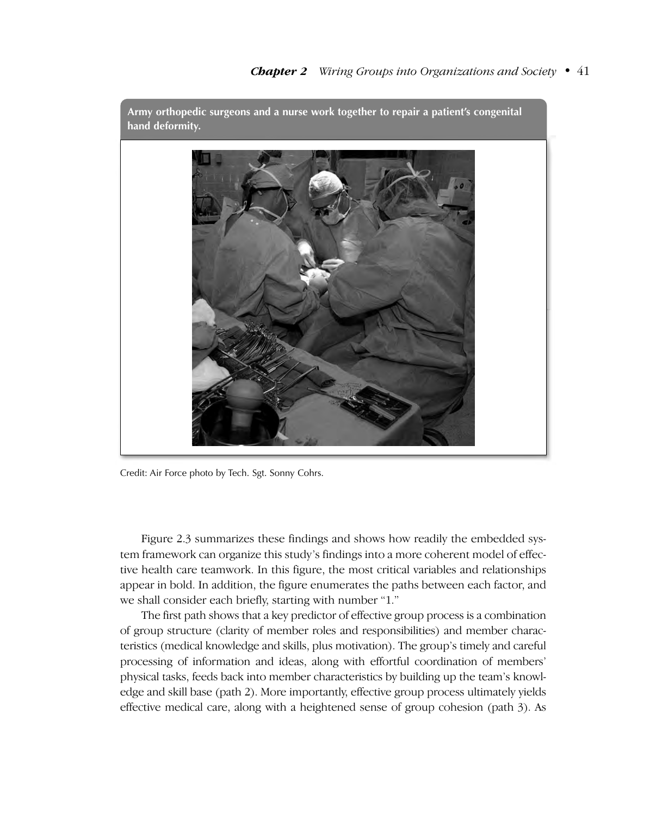

**Army orthopedic surgeons and a nurse work together to repair a patient's congenital**

Credit: Air Force photo by Tech. Sgt. Sonny Cohrs.

Figure 2.3 summarizes these findings and shows how readily the embedded system framework can organize this study's findings into a more coherent model of effective health care teamwork. In this figure, the most critical variables and relationships appear in bold. In addition, the figure enumerates the paths between each factor, and we shall consider each briefly, starting with number "1."

The first path shows that a key predictor of effective group process is a combination of group structure (clarity of member roles and responsibilities) and member characteristics (medical knowledge and skills, plus motivation). The group's timely and careful processing of information and ideas, along with effortful coordination of members' physical tasks, feeds back into member characteristics by building up the team's knowledge and skill base (path 2). More importantly, effective group process ultimately yields effective medical care, along with a heightened sense of group cohesion (path 3). As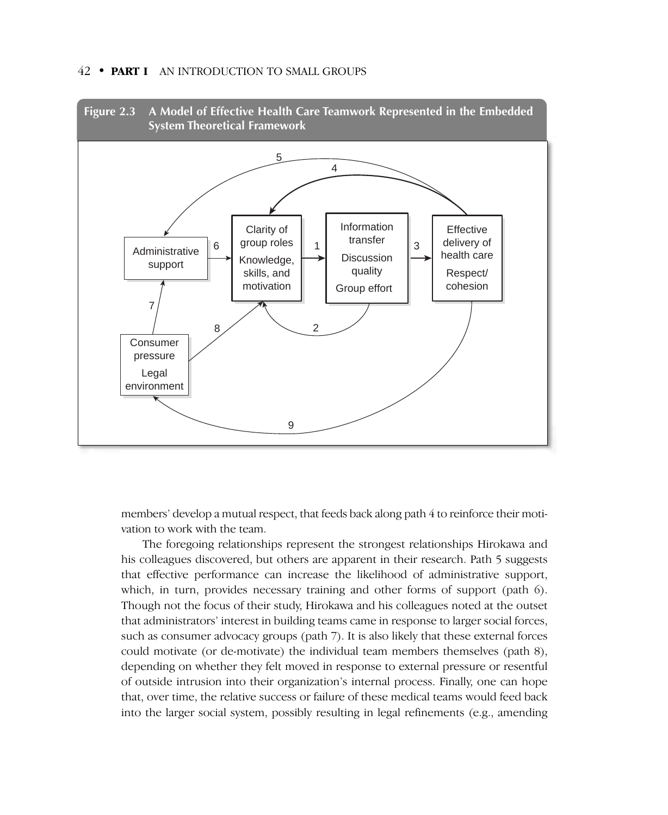



members' develop a mutual respect, that feeds back along path 4 to reinforce their motivation to work with the team.

The foregoing relationships represent the strongest relationships Hirokawa and his colleagues discovered, but others are apparent in their research. Path 5 suggests that effective performance can increase the likelihood of administrative support, which, in turn, provides necessary training and other forms of support (path 6). Though not the focus of their study, Hirokawa and his colleagues noted at the outset that administrators' interest in building teams came in response to larger social forces, such as consumer advocacy groups (path 7). It is also likely that these external forces could motivate (or de-motivate) the individual team members themselves (path 8), depending on whether they felt moved in response to external pressure or resentful of outside intrusion into their organization's internal process. Finally, one can hope that, over time, the relative success or failure of these medical teams would feed back into the larger social system, possibly resulting in legal refinements (e.g., amending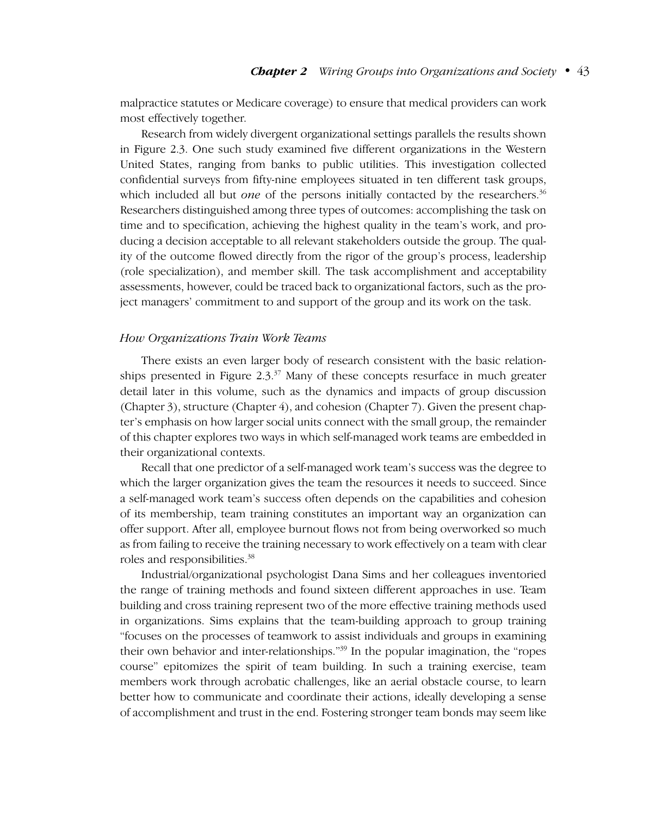malpractice statutes or Medicare coverage) to ensure that medical providers can work most effectively together.

Research from widely divergent organizational settings parallels the results shown in Figure 2.3. One such study examined five different organizations in the Western United States, ranging from banks to public utilities. This investigation collected confidential surveys from fifty-nine employees situated in ten different task groups, which included all but *one* of the persons initially contacted by the researchers.<sup>36</sup> Researchers distinguished among three types of outcomes: accomplishing the task on time and to specification, achieving the highest quality in the team's work, and producing a decision acceptable to all relevant stakeholders outside the group. The quality of the outcome flowed directly from the rigor of the group's process, leadership (role specialization), and member skill. The task accomplishment and acceptability assessments, however, could be traced back to organizational factors, such as the project managers' commitment to and support of the group and its work on the task.

#### *How Organizations Train Work Teams*

There exists an even larger body of research consistent with the basic relationships presented in Figure  $2.3^{37}$  Many of these concepts resurface in much greater detail later in this volume, such as the dynamics and impacts of group discussion (Chapter 3), structure (Chapter 4), and cohesion (Chapter 7). Given the present chapter's emphasis on how larger social units connect with the small group, the remainder of this chapter explores two ways in which self-managed work teams are embedded in their organizational contexts.

Recall that one predictor of a self-managed work team's success was the degree to which the larger organization gives the team the resources it needs to succeed. Since a self-managed work team's success often depends on the capabilities and cohesion of its membership, team training constitutes an important way an organization can offer support. After all, employee burnout flows not from being overworked so much as from failing to receive the training necessary to work effectively on a team with clear roles and responsibilities.<sup>38</sup>

Industrial/organizational psychologist Dana Sims and her colleagues inventoried the range of training methods and found sixteen different approaches in use. Team building and cross training represent two of the more effective training methods used in organizations. Sims explains that the team-building approach to group training "focuses on the processes of teamwork to assist individuals and groups in examining their own behavior and inter-relationships."39 In the popular imagination, the "ropes course" epitomizes the spirit of team building. In such a training exercise, team members work through acrobatic challenges, like an aerial obstacle course, to learn better how to communicate and coordinate their actions, ideally developing a sense of accomplishment and trust in the end. Fostering stronger team bonds may seem like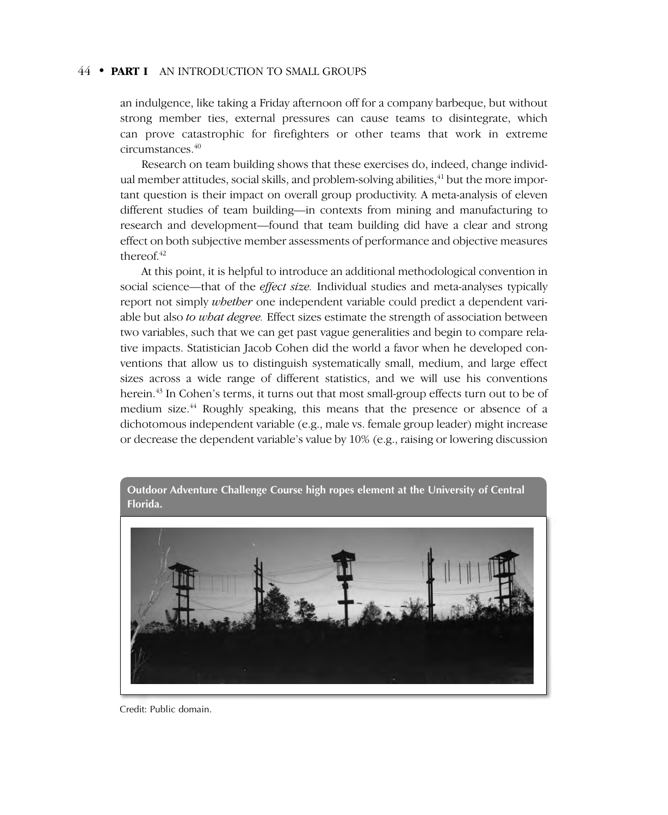an indulgence, like taking a Friday afternoon off for a company barbeque, but without strong member ties, external pressures can cause teams to disintegrate, which can prove catastrophic for firefighters or other teams that work in extreme circumstances.40

Research on team building shows that these exercises do, indeed, change individual member attitudes, social skills, and problem-solving abilities, $^{41}$  but the more important question is their impact on overall group productivity. A meta-analysis of eleven different studies of team building—in contexts from mining and manufacturing to research and development—found that team building did have a clear and strong effect on both subjective member assessments of performance and objective measures thereof. $42$ 

At this point, it is helpful to introduce an additional methodological convention in social science—that of the *effect size.* Individual studies and meta-analyses typically report not simply *whether* one independent variable could predict a dependent variable but also *to what degree.* Effect sizes estimate the strength of association between two variables, such that we can get past vague generalities and begin to compare relative impacts. Statistician Jacob Cohen did the world a favor when he developed conventions that allow us to distinguish systematically small, medium, and large effect sizes across a wide range of different statistics, and we will use his conventions herein.<sup>43</sup> In Cohen's terms, it turns out that most small-group effects turn out to be of medium size.<sup>44</sup> Roughly speaking, this means that the presence or absence of a dichotomous independent variable (e.g., male vs. female group leader) might increase or decrease the dependent variable's value by 10% (e.g., raising or lowering discussion



Credit: Public domain.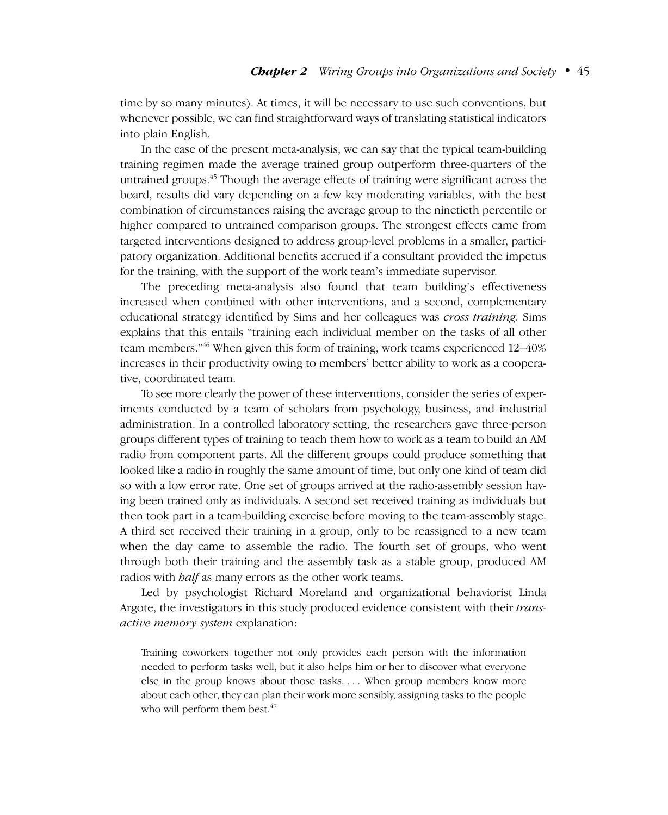time by so many minutes). At times, it will be necessary to use such conventions, but whenever possible, we can find straightforward ways of translating statistical indicators into plain English.

In the case of the present meta-analysis, we can say that the typical team-building training regimen made the average trained group outperform three-quarters of the untrained groups.<sup>45</sup> Though the average effects of training were significant across the board, results did vary depending on a few key moderating variables, with the best combination of circumstances raising the average group to the ninetieth percentile or higher compared to untrained comparison groups. The strongest effects came from targeted interventions designed to address group-level problems in a smaller, participatory organization. Additional benefits accrued if a consultant provided the impetus for the training, with the support of the work team's immediate supervisor.

The preceding meta-analysis also found that team building's effectiveness increased when combined with other interventions, and a second, complementary educational strategy identified by Sims and her colleagues was *cross training.* Sims explains that this entails "training each individual member on the tasks of all other team members."46 When given this form of training, work teams experienced 12–40% increases in their productivity owing to members' better ability to work as a cooperative, coordinated team.

To see more clearly the power of these interventions, consider the series of experiments conducted by a team of scholars from psychology, business, and industrial administration. In a controlled laboratory setting, the researchers gave three-person groups different types of training to teach them how to work as a team to build an AM radio from component parts. All the different groups could produce something that looked like a radio in roughly the same amount of time, but only one kind of team did so with a low error rate. One set of groups arrived at the radio-assembly session having been trained only as individuals. A second set received training as individuals but then took part in a team-building exercise before moving to the team-assembly stage. A third set received their training in a group, only to be reassigned to a new team when the day came to assemble the radio. The fourth set of groups, who went through both their training and the assembly task as a stable group, produced AM radios with *half* as many errors as the other work teams.

Led by psychologist Richard Moreland and organizational behaviorist Linda Argote, the investigators in this study produced evidence consistent with their *transactive memory system* explanation:

Training coworkers together not only provides each person with the information needed to perform tasks well, but it also helps him or her to discover what everyone else in the group knows about those tasks. . . . When group members know more about each other, they can plan their work more sensibly, assigning tasks to the people who will perform them best. $47$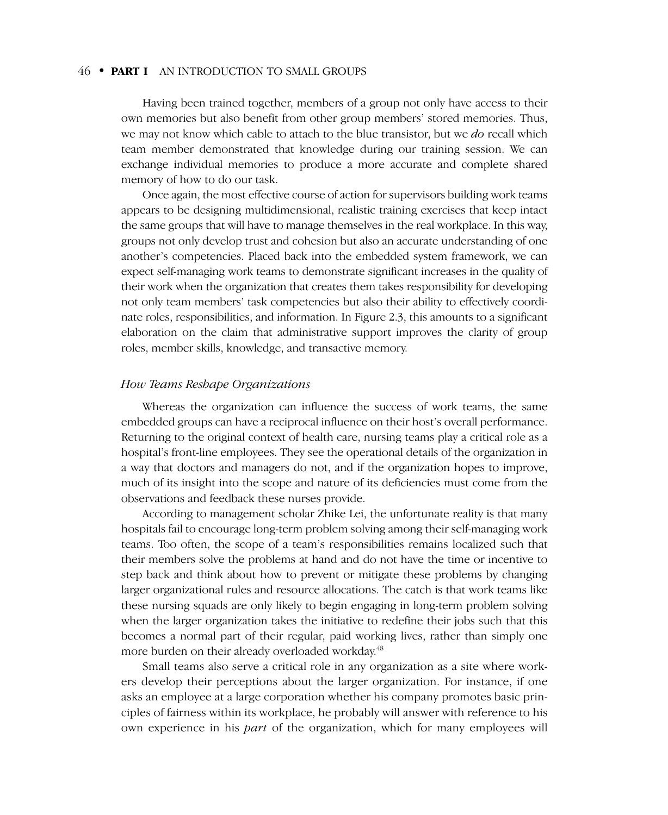Having been trained together, members of a group not only have access to their own memories but also benefit from other group members' stored memories. Thus, we may not know which cable to attach to the blue transistor, but we *do* recall which team member demonstrated that knowledge during our training session. We can exchange individual memories to produce a more accurate and complete shared memory of how to do our task.

Once again, the most effective course of action for supervisors building work teams appears to be designing multidimensional, realistic training exercises that keep intact the same groups that will have to manage themselves in the real workplace. In this way, groups not only develop trust and cohesion but also an accurate understanding of one another's competencies. Placed back into the embedded system framework, we can expect self-managing work teams to demonstrate significant increases in the quality of their work when the organization that creates them takes responsibility for developing not only team members' task competencies but also their ability to effectively coordinate roles, responsibilities, and information. In Figure 2.3, this amounts to a significant elaboration on the claim that administrative support improves the clarity of group roles, member skills, knowledge, and transactive memory.

#### *How Teams Reshape Organizations*

Whereas the organization can influence the success of work teams, the same embedded groups can have a reciprocal influence on their host's overall performance. Returning to the original context of health care, nursing teams play a critical role as a hospital's front-line employees. They see the operational details of the organization in a way that doctors and managers do not, and if the organization hopes to improve, much of its insight into the scope and nature of its deficiencies must come from the observations and feedback these nurses provide.

According to management scholar Zhike Lei, the unfortunate reality is that many hospitals fail to encourage long-term problem solving among their self-managing work teams. Too often, the scope of a team's responsibilities remains localized such that their members solve the problems at hand and do not have the time or incentive to step back and think about how to prevent or mitigate these problems by changing larger organizational rules and resource allocations. The catch is that work teams like these nursing squads are only likely to begin engaging in long-term problem solving when the larger organization takes the initiative to redefine their jobs such that this becomes a normal part of their regular, paid working lives, rather than simply one more burden on their already overloaded workday.<sup>48</sup>

Small teams also serve a critical role in any organization as a site where workers develop their perceptions about the larger organization. For instance, if one asks an employee at a large corporation whether his company promotes basic principles of fairness within its workplace, he probably will answer with reference to his own experience in his *part* of the organization, which for many employees will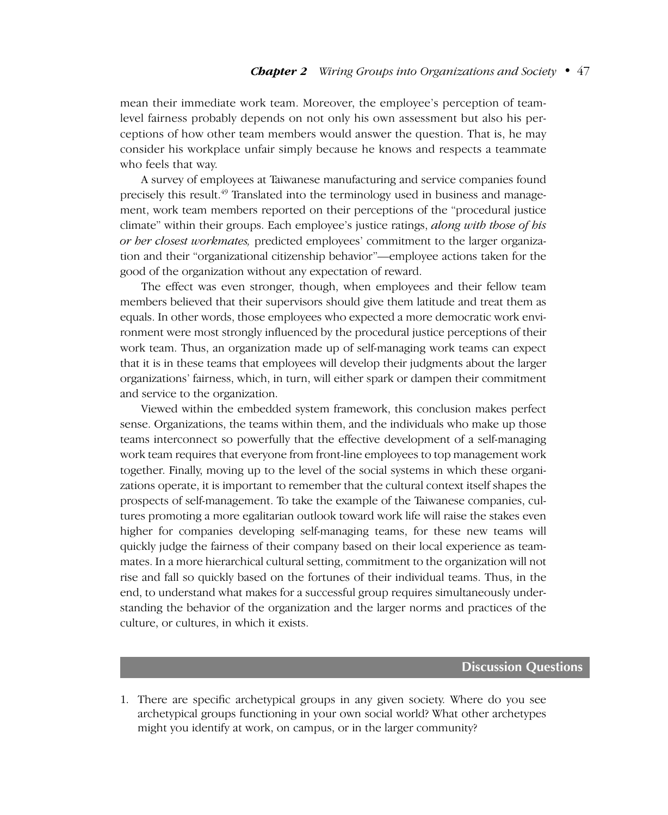mean their immediate work team. Moreover, the employee's perception of teamlevel fairness probably depends on not only his own assessment but also his perceptions of how other team members would answer the question. That is, he may consider his workplace unfair simply because he knows and respects a teammate who feels that way.

A survey of employees at Taiwanese manufacturing and service companies found precisely this result.<sup>49</sup> Translated into the terminology used in business and management, work team members reported on their perceptions of the "procedural justice climate" within their groups. Each employee's justice ratings, *along with those of his or her closest workmates,* predicted employees' commitment to the larger organization and their "organizational citizenship behavior"—employee actions taken for the good of the organization without any expectation of reward.

The effect was even stronger, though, when employees and their fellow team members believed that their supervisors should give them latitude and treat them as equals. In other words, those employees who expected a more democratic work environment were most strongly influenced by the procedural justice perceptions of their work team. Thus, an organization made up of self-managing work teams can expect that it is in these teams that employees will develop their judgments about the larger organizations' fairness, which, in turn, will either spark or dampen their commitment and service to the organization.

Viewed within the embedded system framework, this conclusion makes perfect sense. Organizations, the teams within them, and the individuals who make up those teams interconnect so powerfully that the effective development of a self-managing work team requires that everyone from front-line employees to top management work together. Finally, moving up to the level of the social systems in which these organizations operate, it is important to remember that the cultural context itself shapes the prospects of self-management. To take the example of the Taiwanese companies, cultures promoting a more egalitarian outlook toward work life will raise the stakes even higher for companies developing self-managing teams, for these new teams will quickly judge the fairness of their company based on their local experience as teammates. In a more hierarchical cultural setting, commitment to the organization will not rise and fall so quickly based on the fortunes of their individual teams. Thus, in the end, to understand what makes for a successful group requires simultaneously understanding the behavior of the organization and the larger norms and practices of the culture, or cultures, in which it exists.

#### **Discussion Questions**

1. There are specific archetypical groups in any given society. Where do you see archetypical groups functioning in your own social world? What other archetypes might you identify at work, on campus, or in the larger community?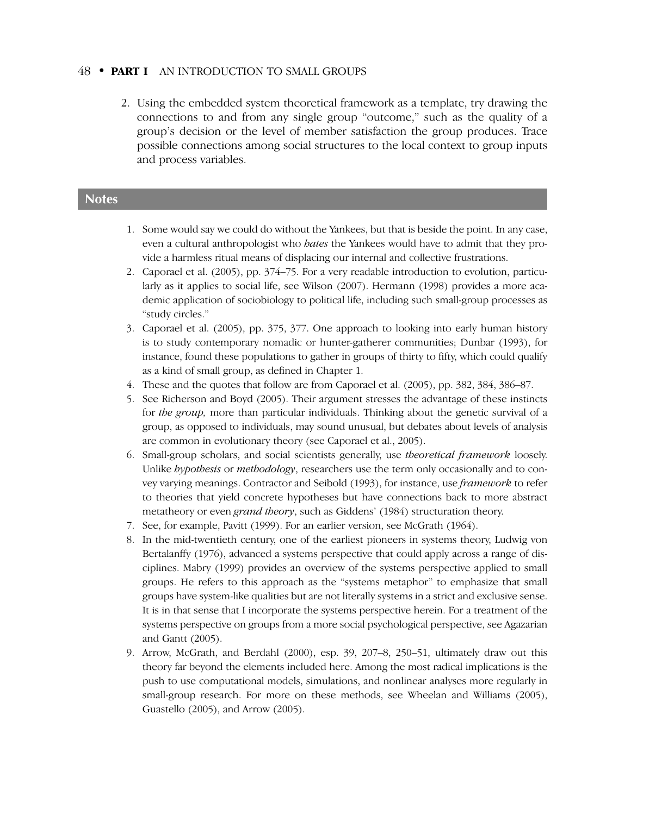2. Using the embedded system theoretical framework as a template, try drawing the connections to and from any single group "outcome," such as the quality of a group's decision or the level of member satisfaction the group produces. Trace possible connections among social structures to the local context to group inputs and process variables.

#### **Notes**

- 1. Some would say we could do without the Yankees, but that is beside the point. In any case, even a cultural anthropologist who *hates* the Yankees would have to admit that they provide a harmless ritual means of displacing our internal and collective frustrations.
- 2. Caporael et al. (2005), pp. 374–75. For a very readable introduction to evolution, particularly as it applies to social life, see Wilson (2007). Hermann (1998) provides a more academic application of sociobiology to political life, including such small-group processes as "study circles."
- 3. Caporael et al. (2005), pp. 375, 377. One approach to looking into early human history is to study contemporary nomadic or hunter-gatherer communities; Dunbar (1993), for instance, found these populations to gather in groups of thirty to fifty, which could qualify as a kind of small group, as defined in Chapter 1.
- 4. These and the quotes that follow are from Caporael et al. (2005), pp. 382, 384, 386–87.
- 5. See Richerson and Boyd (2005). Their argument stresses the advantage of these instincts for *the group,* more than particular individuals. Thinking about the genetic survival of a group, as opposed to individuals, may sound unusual, but debates about levels of analysis are common in evolutionary theory (see Caporael et al., 2005).
- 6. Small-group scholars, and social scientists generally, use *theoretical framework* loosely. Unlike *hypothesis* or *methodology*, researchers use the term only occasionally and to convey varying meanings. Contractor and Seibold (1993), for instance, use *framework* to refer to theories that yield concrete hypotheses but have connections back to more abstract metatheory or even *grand theory*, such as Giddens' (1984) structuration theory.
- 7. See, for example, Pavitt (1999). For an earlier version, see McGrath (1964).
- 8. In the mid-twentieth century, one of the earliest pioneers in systems theory, Ludwig von Bertalanffy (1976), advanced a systems perspective that could apply across a range of disciplines. Mabry (1999) provides an overview of the systems perspective applied to small groups. He refers to this approach as the "systems metaphor" to emphasize that small groups have system-like qualities but are not literally systems in a strict and exclusive sense. It is in that sense that I incorporate the systems perspective herein. For a treatment of the systems perspective on groups from a more social psychological perspective, see Agazarian and Gantt (2005).
- 9. Arrow, McGrath, and Berdahl (2000), esp. 39, 207–8, 250–51, ultimately draw out this theory far beyond the elements included here. Among the most radical implications is the push to use computational models, simulations, and nonlinear analyses more regularly in small-group research. For more on these methods, see Wheelan and Williams (2005), Guastello (2005), and Arrow (2005).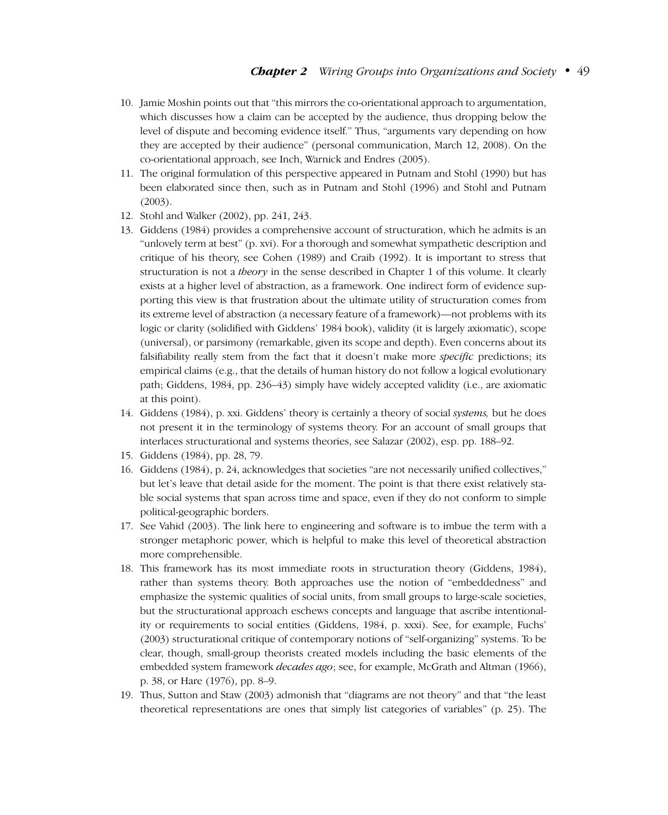- 10. Jamie Moshin points out that "this mirrors the co-orientational approach to argumentation, which discusses how a claim can be accepted by the audience, thus dropping below the level of dispute and becoming evidence itself." Thus, "arguments vary depending on how they are accepted by their audience" (personal communication, March 12, 2008). On the co-orientational approach, see Inch, Warnick and Endres (2005).
- 11. The original formulation of this perspective appeared in Putnam and Stohl (1990) but has been elaborated since then, such as in Putnam and Stohl (1996) and Stohl and Putnam  $(2003)$ .
- 12. Stohl and Walker (2002), pp. 241, 243.
- 13. Giddens (1984) provides a comprehensive account of structuration, which he admits is an "unlovely term at best" (p. xvi). For a thorough and somewhat sympathetic description and critique of his theory, see Cohen (1989) and Craib (1992). It is important to stress that structuration is not a *theory* in the sense described in Chapter 1 of this volume. It clearly exists at a higher level of abstraction, as a framework. One indirect form of evidence supporting this view is that frustration about the ultimate utility of structuration comes from its extreme level of abstraction (a necessary feature of a framework)—not problems with its logic or clarity (solidified with Giddens' 1984 book), validity (it is largely axiomatic), scope (universal), or parsimony (remarkable, given its scope and depth). Even concerns about its falsifiability really stem from the fact that it doesn't make more *specific* predictions; its empirical claims (e.g., that the details of human history do not follow a logical evolutionary path; Giddens, 1984, pp. 236–43) simply have widely accepted validity (i.e., are axiomatic at this point).
- 14. Giddens (1984), p. xxi. Giddens' theory is certainly a theory of social *systems,* but he does not present it in the terminology of systems theory. For an account of small groups that interlaces structurational and systems theories, see Salazar (2002), esp. pp. 188–92.
- 15. Giddens (1984), pp. 28, 79.
- 16. Giddens (1984), p. 24, acknowledges that societies "are not necessarily unified collectives," but let's leave that detail aside for the moment. The point is that there exist relatively stable social systems that span across time and space, even if they do not conform to simple political-geographic borders.
- 17. See Vahid (2003). The link here to engineering and software is to imbue the term with a stronger metaphoric power, which is helpful to make this level of theoretical abstraction more comprehensible.
- 18. This framework has its most immediate roots in structuration theory (Giddens, 1984), rather than systems theory. Both approaches use the notion of "embeddedness" and emphasize the systemic qualities of social units, from small groups to large-scale societies, but the structurational approach eschews concepts and language that ascribe intentionality or requirements to social entities (Giddens, 1984, p. xxxi). See, for example, Fuchs' (2003) structurational critique of contemporary notions of "self-organizing" systems. To be clear, though, small-group theorists created models including the basic elements of the embedded system framework *decades ago*; see, for example, McGrath and Altman (1966), p. 38, or Hare (1976), pp. 8–9.
- 19. Thus, Sutton and Staw (2003) admonish that "diagrams are not theory" and that "the least theoretical representations are ones that simply list categories of variables" (p. 25). The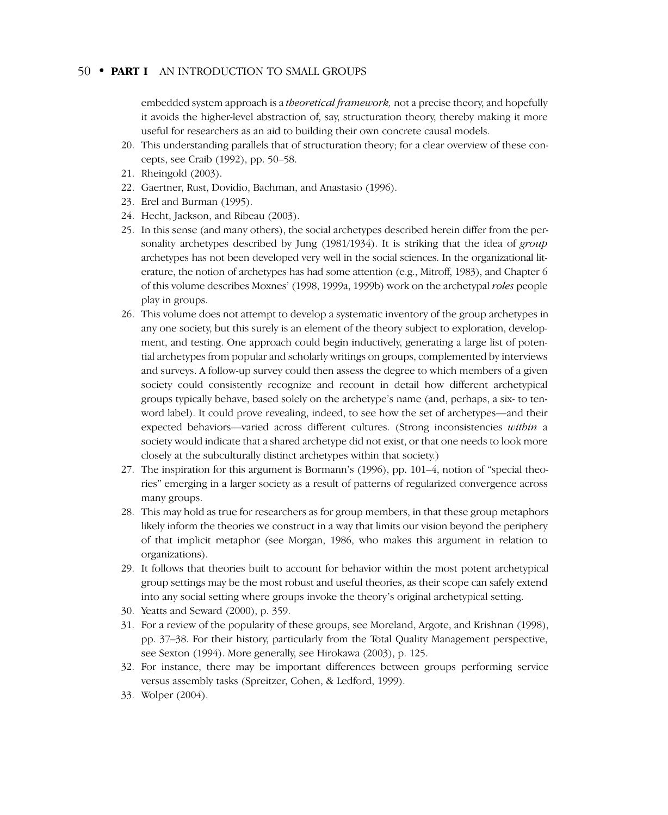embedded system approach is a *theoretical framework,* not a precise theory, and hopefully it avoids the higher-level abstraction of, say, structuration theory, thereby making it more useful for researchers as an aid to building their own concrete causal models.

- 20. This understanding parallels that of structuration theory; for a clear overview of these concepts, see Craib (1992), pp. 50–58.
- 21. Rheingold (2003).
- 22. Gaertner, Rust, Dovidio, Bachman, and Anastasio (1996).
- 23. Erel and Burman (1995).
- 24. Hecht, Jackson, and Ribeau (2003).
- 25. In this sense (and many others), the social archetypes described herein differ from the personality archetypes described by Jung (1981/1934). It is striking that the idea of *group* archetypes has not been developed very well in the social sciences. In the organizational literature, the notion of archetypes has had some attention (e.g., Mitroff, 1983), and Chapter 6 of this volume describes Moxnes' (1998, 1999a, 1999b) work on the archetypal *roles* people play in groups.
- 26. This volume does not attempt to develop a systematic inventory of the group archetypes in any one society, but this surely is an element of the theory subject to exploration, development, and testing. One approach could begin inductively, generating a large list of potential archetypes from popular and scholarly writings on groups, complemented by interviews and surveys. A follow-up survey could then assess the degree to which members of a given society could consistently recognize and recount in detail how different archetypical groups typically behave, based solely on the archetype's name (and, perhaps, a six- to tenword label). It could prove revealing, indeed, to see how the set of archetypes—and their expected behaviors—varied across different cultures. (Strong inconsistencies *within* a society would indicate that a shared archetype did not exist, or that one needs to look more closely at the subculturally distinct archetypes within that society.)
- 27. The inspiration for this argument is Bormann's (1996), pp. 101–4, notion of "special theories" emerging in a larger society as a result of patterns of regularized convergence across many groups.
- 28. This may hold as true for researchers as for group members, in that these group metaphors likely inform the theories we construct in a way that limits our vision beyond the periphery of that implicit metaphor (see Morgan, 1986, who makes this argument in relation to organizations).
- 29. It follows that theories built to account for behavior within the most potent archetypical group settings may be the most robust and useful theories, as their scope can safely extend into any social setting where groups invoke the theory's original archetypical setting.
- 30. Yeatts and Seward (2000), p. 359.
- 31. For a review of the popularity of these groups, see Moreland, Argote, and Krishnan (1998), pp. 37–38. For their history, particularly from the Total Quality Management perspective, see Sexton (1994). More generally, see Hirokawa (2003), p. 125.
- 32. For instance, there may be important differences between groups performing service versus assembly tasks (Spreitzer, Cohen, & Ledford, 1999).
- 33. Wolper (2004).